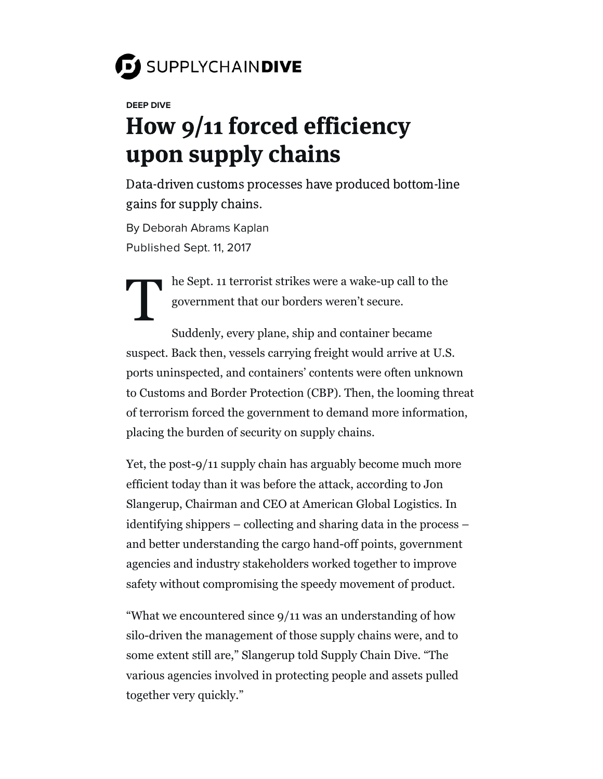# SUPPLYCHAINDIVE

#### **DEEP DIVE**

## How 9/11 forced efficiency upon supply chains

Data-driven customs processes have produced bottom-line gains for supply chains.

By [Deborah](https://www.supplychaindive.com/editors/dkaplan/) Abrams Kaplan Published Sept. 11, 2017

> he Sept. 11 terrorist strikes were a wake-up call to the government that our borders weren't secure.

 $\textbf{T}^{\scriptscriptstyle{1}}$ Suddenly, every plane, ship and container became suspect. Back then, vessels carrying freight would arrive at U.S. ports uninspected, and containers' contents were often unknown to Customs and Border Protection (CBP). Then, the looming threat of terrorism forced the government to demand more information, placing the burden of security on supply chains.

Yet, the post-9/11 supply chain has arguably become much more efficient today than it was before the attack, according to Jon Slangerup, Chairman and CEO at American Global Logistics. In identifying shippers – collecting and sharing data in the process – and better understanding the cargo hand-off points, government agencies and industry stakeholders worked together to improve safety without compromising the speedy movement of product.

"What we encountered since 9/11 was an understanding of how silo-driven the management of those supply chains were, and to some extent still are," Slangerup told Supply Chain Dive. "The various agencies involved in protecting people and assets pulled together very quickly."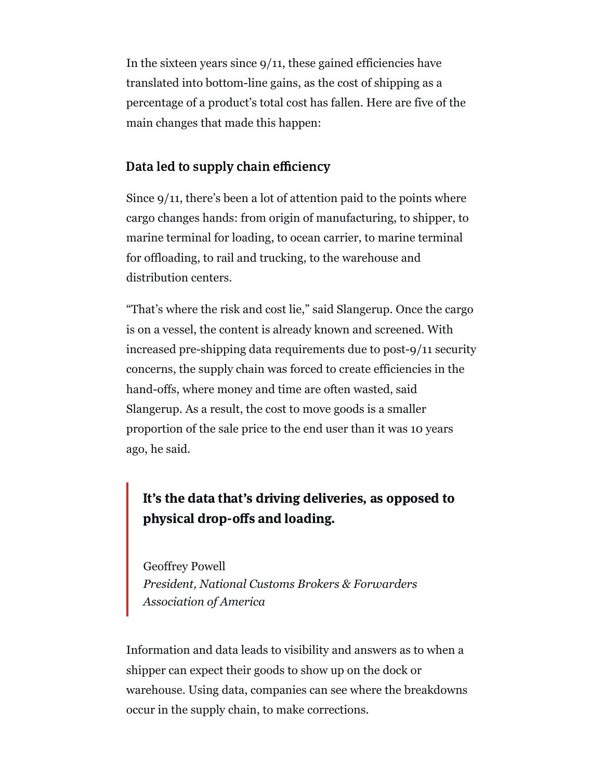In the sixteen years since  $9/11$ , these gained efficiencies have translated into bottom-line gains, as the cost of shipping as a percentage of a product's total cost has fallen. Here are five of the main changes that made this happen:

#### Data led to supply chain efficiency

Since 9/11, there's been a lot of attention paid to the points where cargo changes hands: from origin of manufacturing, to shipper, to marine terminal for loading, to ocean carrier, to marine terminal for offloading, to rail and trucking, to the warehouse and distribution centers.

"That's where the risk and cost lie," said Slangerup. Once the cargo is on a vessel, the content is already known and screened. With increased pre-shipping data requirements due to post-9/11 security concerns, the supply chain was forced to create efficiencies in the hand-offs, where money and time are often wasted, said Slangerup. As a result, the cost to move goods is a smaller proportion of the sale price to the end user than it was 10 years ago, he said.

# It's the data that's driving deliveries, as opposed to physical drop-offs and loading.

Geoffrey Powell *President, National Customs Brokers & Forwarders Association of America*

Information and data leads to visibility and answers as to when a shipper can expect their goods to show up on the dock or warehouse. Using data, companies can see where the breakdowns occur in the supply chain, to make corrections.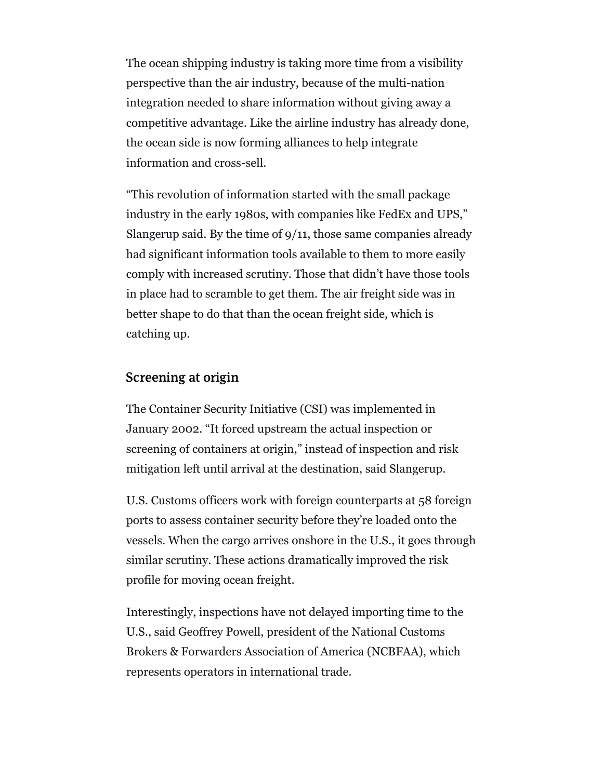The ocean shipping industry is taking more time from a visibility perspective than the air industry, because of the multi-nation integration needed to share information without giving away a competitive advantage. Like the airline industry has already done, the ocean side is now forming alliances to help integrate information and cross-sell.

"This revolution of information started with the small package industry in the early 1980s, with companies like FedEx and UPS," Slangerup said. By the time of 9/11, those same companies already had significant information tools available to them to more easily comply with increased scrutiny. Those that didn't have those tools in place had to scramble to get them. The air freight side was in better shape to do that than the ocean freight side, which is catching up.

#### Screening at origin

The Container Security Initiative (CSI) was implemented in January 2002. "It forced upstream the actual inspection or screening of containers at origin," instead of inspection and risk mitigation left until arrival at the destination, said Slangerup.

U.S. Customs officers work with foreign counterparts at 58 foreign ports to assess container security before they're loaded onto the vessels. When the cargo arrives onshore in the U.S., it goes through similar scrutiny. These actions dramatically improved the risk profile for moving ocean freight.

Interestingly, inspections have not delayed importing time to the U.S., said Geoffrey Powell, president of the National Customs Brokers & Forwarders Association of America (NCBFAA), which represents operators in international trade.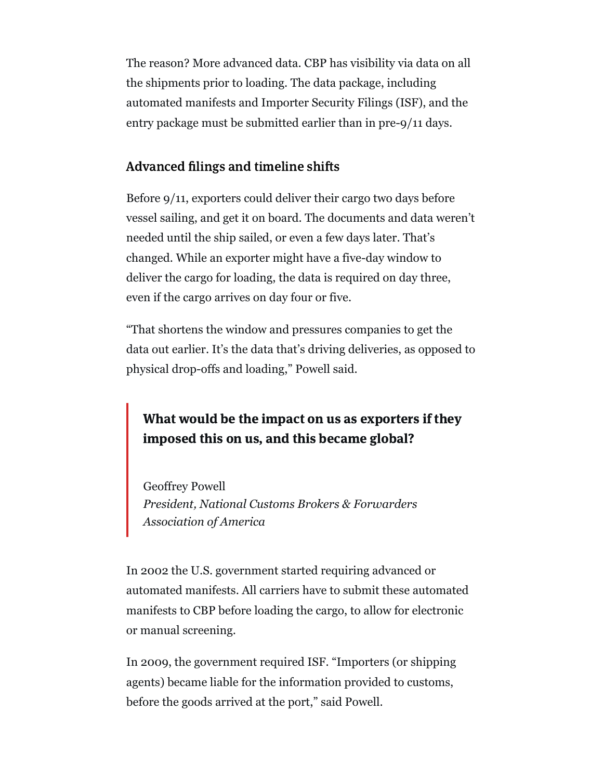The reason? More advanced data. CBP has visibility via data on all the shipments prior to loading. The data package, including automated manifests and Importer Security Filings (ISF), and the entry package must be submitted earlier than in pre-9/11 days.

#### Advanced filings and timeline shifts

Before 9/11, exporters could deliver their cargo two days before vessel sailing, and get it on board. The documents and data weren't needed until the ship sailed, or even a few days later. That's changed. While an exporter might have a five-day window to deliver the cargo for loading, the data is required on day three, even if the cargo arrives on day four or five.

"That shortens the window and pressures companies to get the data out earlier. It's the data that's driving deliveries, as opposed to physical drop-offs and loading," Powell said.

## What would be the impact on us as exporters if they imposed this on us, and this became global?

Geoffrey Powell *President, National Customs Brokers & Forwarders Association of America*

In 2002 the U.S. government started requiring advanced or automated manifests. All carriers have to submit these automated manifests to CBP before loading the cargo, to allow for electronic or manual screening.

In 2009, the government required ISF. "Importers (or shipping agents) became liable for the information provided to customs, before the goods arrived at the port," said Powell.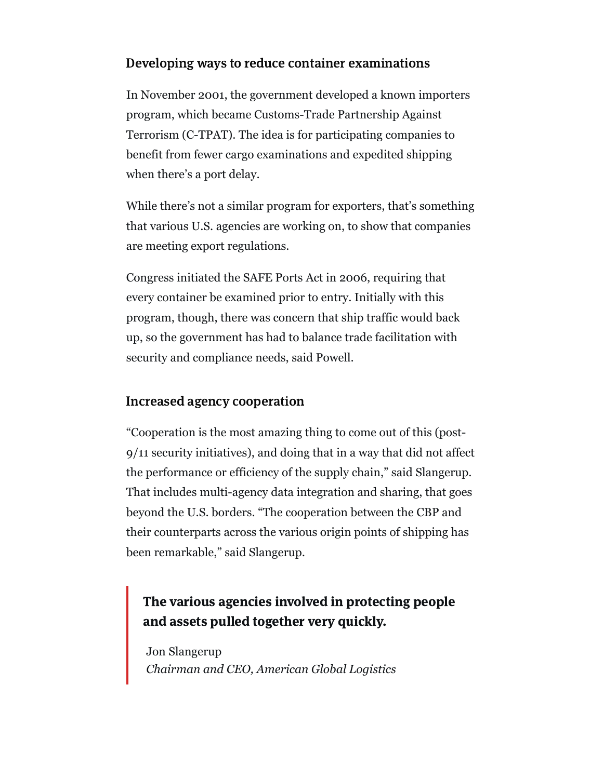#### Developing ways to reduce container examinations

In November 2001, the government developed a known importers program, which became Customs-Trade Partnership Against Terrorism (C-TPAT). The idea is for participating companies to benefit from fewer cargo examinations and expedited shipping when there's a port delay.

While there's not a similar program for exporters, that's something that various U.S. agencies are working on, to show that companies are meeting export regulations.

Congress initiated the SAFE Ports Act in 2006, requiring that every container be examined prior to entry. Initially with this program, though, there was concern that ship traffic would back up, so the government has had to balance trade facilitation with security and compliance needs, said Powell.

#### Increased agency cooperation

"Cooperation is the most amazing thing to come out of this (post-9/11 security initiatives), and doing that in a way that did not affect the performance or efficiency of the supply chain," said Slangerup. That includes multi-agency data integration and sharing, that goes beyond the U.S. borders. "The cooperation between the CBP and their counterparts across the various origin points of shipping has been remarkable," said Slangerup.

### The various agencies involved in protecting people and assets pulled together very quickly.

Jon Slangerup *Chairman and CEO, American Global Logistics*